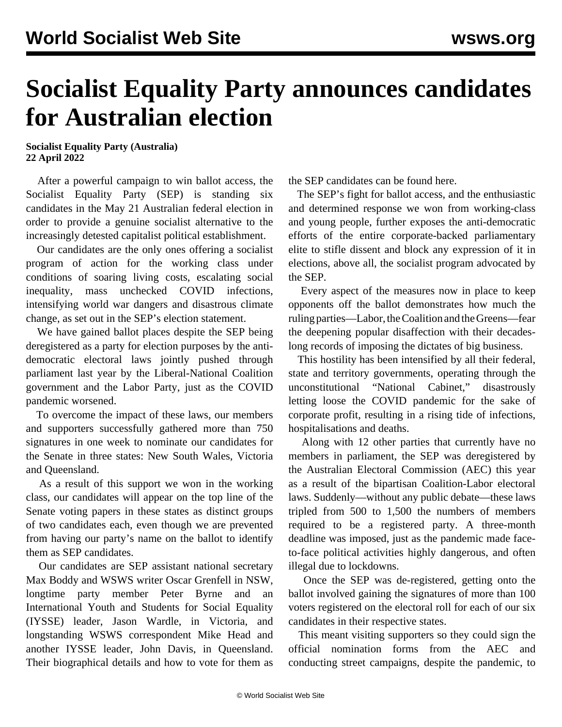## **Socialist Equality Party announces candidates for Australian election**

**Socialist Equality Party (Australia) 22 April 2022**

 After a powerful campaign to win ballot access, the Socialist Equality Party (SEP) is standing six candidates in the May 21 Australian federal election in order to provide a genuine socialist alternative to the increasingly detested capitalist political establishment.

 Our candidates are the only ones offering a socialist program of action for the working class under conditions of soaring living costs, escalating social inequality, mass unchecked COVID infections, intensifying world war dangers and disastrous climate change, as set out in the SEP's [election statement](/en/articles/2022/04/13/aust-a13.html).

 We have gained ballot places despite the SEP being deregistered as a party for election purposes by the antidemocratic electoral laws jointly pushed through parliament last year by the Liberal-National Coalition government and the Labor Party, just as the COVID pandemic worsened.

 To overcome the impact of these laws, our members and supporters successfully gathered more than 750 signatures in one week to nominate our candidates for the Senate in three states: New South Wales, Victoria and Queensland.

 As a result of this support we won in the working class, our candidates will appear on the top line of the Senate voting papers in these states as distinct groups of two candidates each, even though we are prevented from having our party's name on the ballot to identify them as SEP candidates.

 Our candidates are SEP assistant national secretary Max Boddy and WSWS writer Oscar Grenfell in NSW, longtime party member Peter Byrne and an International Youth and Students for Social Equality (IYSSE) leader, Jason Wardle, in Victoria, and longstanding WSWS correspondent Mike Head and another IYSSE leader, John Davis, in Queensland. Their biographical details and how to vote for them as

the SEP candidates can be found [here.](/en/articles/2022/04/23/svgy-a23.html)

 The SEP's fight for ballot access, and the enthusiastic and determined response we won from working-class and young people, further exposes the anti-democratic efforts of the entire corporate-backed parliamentary elite to stifle dissent and block any expression of it in elections, above all, the socialist program advocated by the SEP.

 Every aspect of the measures now in place to keep opponents off the ballot demonstrates how much the ruling parties—Labor, the Coalition and the Greens—fear the deepening popular disaffection with their decadeslong records of imposing the dictates of big business.

 This hostility has been intensified by all their federal, state and territory governments, operating through the unconstitutional "National Cabinet," disastrously letting loose the COVID pandemic for the sake of corporate profit, resulting in a rising tide of infections, hospitalisations and deaths.

 Along with 12 other parties that currently have no members in parliament, the SEP was deregistered by the Australian Electoral Commission (AEC) this year as a result of the bipartisan Coalition-Labor electoral laws. Suddenly—without any public debate—these laws tripled from 500 to 1,500 the numbers of members required to be a registered party. A three-month deadline was imposed, just as the pandemic made faceto-face political activities highly dangerous, and often illegal due to lockdowns.

 Once the SEP was de-registered, getting onto the ballot involved gaining the signatures of more than 100 voters registered on the electoral roll for each of our six candidates in their respective states.

 This meant visiting supporters so they could sign the official nomination forms from the AEC and conducting street campaigns, despite the pandemic, to